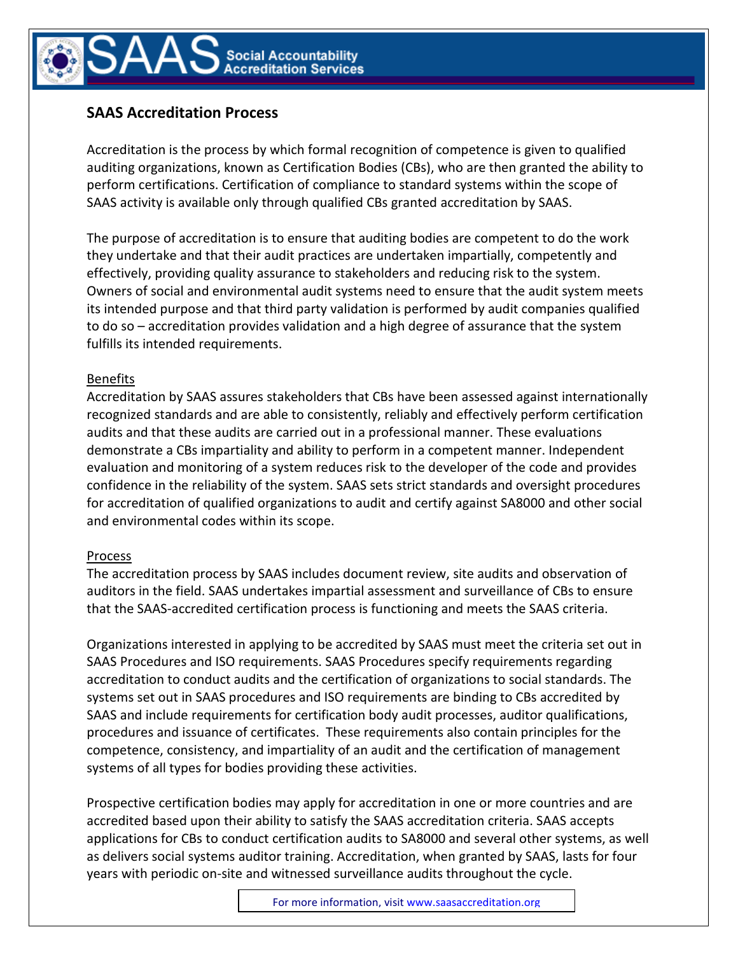

## SAAS Accreditation Process

Accreditation is the process by which formal recognition of competence is given to qualified auditing organizations, known as Certification Bodies (CBs), who are then granted the ability to perform certifications. Certification of compliance to standard systems within the scope of SAAS activity is available only through qualified CBs granted accreditation by SAAS.

The purpose of accreditation is to ensure that auditing bodies are competent to do the work they undertake and that their audit practices are undertaken impartially, competently and effectively, providing quality assurance to stakeholders and reducing risk to the system. Owners of social and environmental audit systems need to ensure that the audit system meets its intended purpose and that third party validation is performed by audit companies qualified to do so – accreditation provides validation and a high degree of assurance that the system fulfills its intended requirements.

## Benefits

Accreditation by SAAS assures stakeholders that CBs have been assessed against internationally recognized standards and are able to consistently, reliably and effectively perform certification audits and that these audits are carried out in a professional manner. These evaluations demonstrate a CBs impartiality and ability to perform in a competent manner. Independent evaluation and monitoring of a system reduces risk to the developer of the code and provides confidence in the reliability of the system. SAAS sets strict standards and oversight procedures for accreditation of qualified organizations to audit and certify against SA8000 and other social and environmental codes within its scope.

## Process

The accreditation process by SAAS includes document review, site audits and observation of auditors in the field. SAAS undertakes impartial assessment and surveillance of CBs to ensure that the SAAS-accredited certification process is functioning and meets the SAAS criteria.

Organizations interested in applying to be accredited by SAAS must meet the criteria set out in SAAS Procedures and ISO requirements. SAAS Procedures specify requirements regarding accreditation to conduct audits and the certification of organizations to social standards. The systems set out in SAAS procedures and ISO requirements are binding to CBs accredited by SAAS and include requirements for certification body audit processes, auditor qualifications, procedures and issuance of certificates. These requirements also contain principles for the competence, consistency, and impartiality of an audit and the certification of management systems of all types for bodies providing these activities.

Prospective certification bodies may apply for accreditation in one or more countries and are accredited based upon their ability to satisfy the SAAS accreditation criteria. SAAS accepts applications for CBs to conduct certification audits to SA8000 and several other systems, as well as delivers social systems auditor training. Accreditation, when granted by SAAS, lasts for four years with periodic on-site and witnessed surveillance audits throughout the cycle.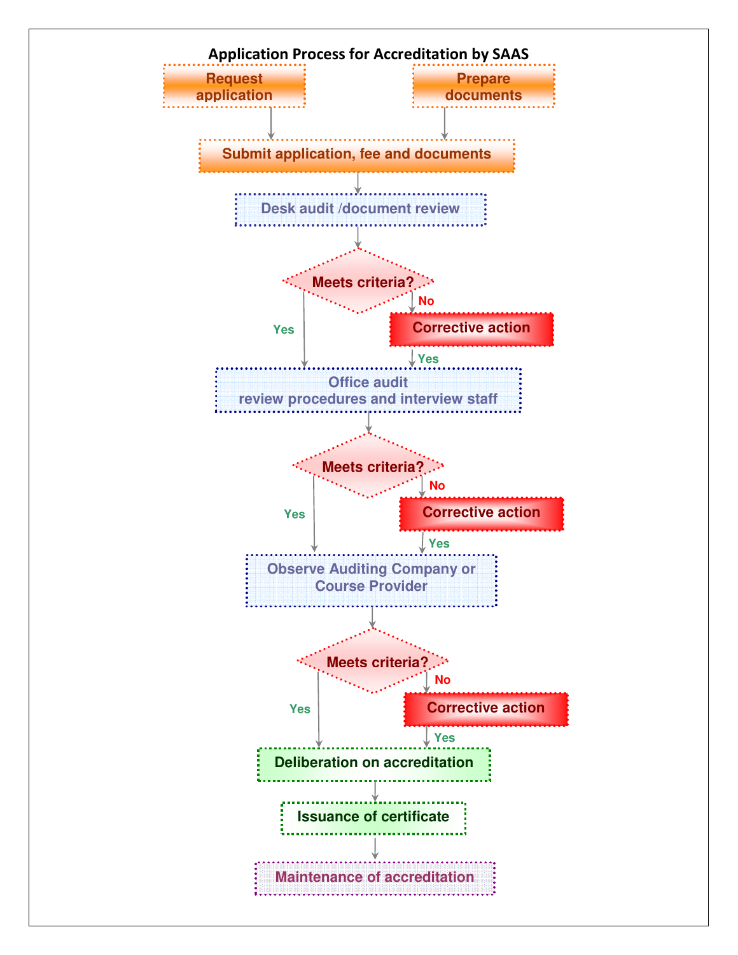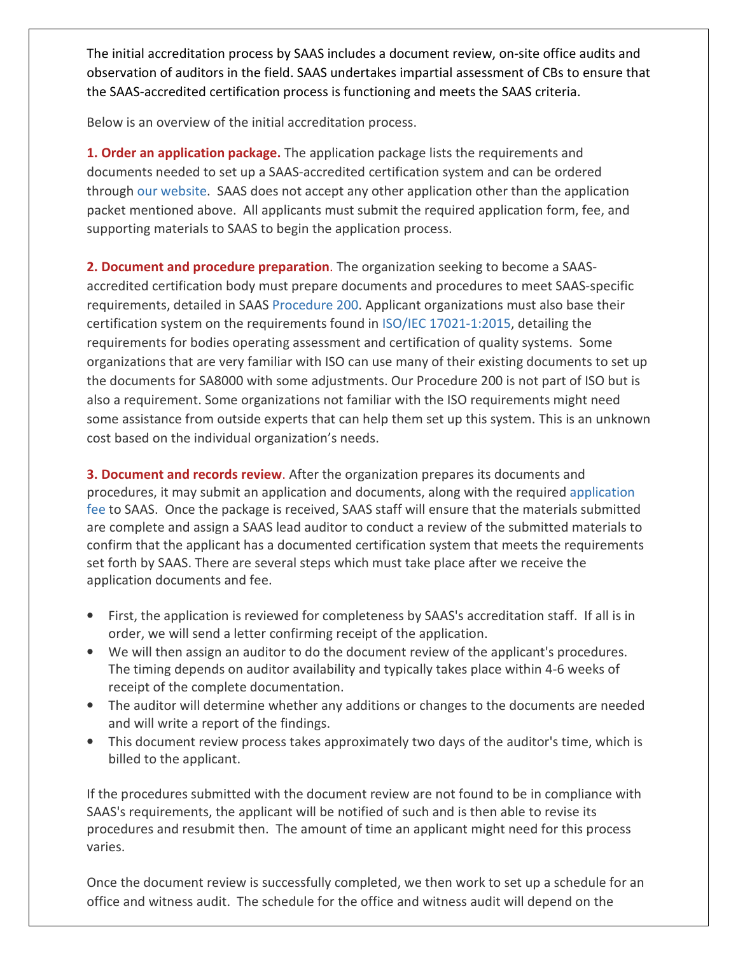The initial accreditation process by SAAS includes a document review, on-site office audits and observation of auditors in the field. SAAS undertakes impartial assessment of CBs to ensure that the SAAS-accredited certification process is functioning and meets the SAAS criteria.

Below is an overview of the initial accreditation process.

**1. Order an application package.** The application package lists the requirements and documents needed to set up a SAAS-accredited certification system and can be ordered through our website. SAAS does not accept any other application other than the application packet mentioned above. All applicants must submit the required application form, fee, and supporting materials to SAAS to begin the application process.

2. Document and procedure preparation. The organization seeking to become a SAASaccredited certification body must prepare documents and procedures to meet SAAS-specific requirements, detailed in SAAS Procedure 200. Applicant organizations must also base their certification system on the requirements found in ISO/IEC 17021-1:2015, detailing the requirements for bodies operating assessment and certification of quality systems. Some organizations that are very familiar with ISO can use many of their existing documents to set up the documents for SA8000 with some adjustments. Our Procedure 200 is not part of ISO but is also a requirement. Some organizations not familiar with the ISO requirements might need some assistance from outside experts that can help them set up this system. This is an unknown cost based on the individual organization's needs.

**3. Document and records review**. After the organization prepares its documents and procedures, it may submit an application and documents, along with the required application fee to SAAS. Once the package is received, SAAS staff will ensure that the materials submitted are complete and assign a SAAS lead auditor to conduct a review of the submitted materials to confirm that the applicant has a documented certification system that meets the requirements set forth by SAAS. There are several steps which must take place after we receive the application documents and fee.

- First, the application is reviewed for completeness by SAAS's accreditation staff. If all is in order, we will send a letter confirming receipt of the application.
- We will then assign an auditor to do the document review of the applicant's procedures. The timing depends on auditor availability and typically takes place within 4-6 weeks of receipt of the complete documentation.
- The auditor will determine whether any additions or changes to the documents are needed and will write a report of the findings.
- This document review process takes approximately two days of the auditor's time, which is billed to the applicant.

If the procedures submitted with the document review are not found to be in compliance with SAAS's requirements, the applicant will be notified of such and is then able to revise its procedures and resubmit then. The amount of time an applicant might need for this process varies.

Once the document review is successfully completed, we then work to set up a schedule for an office and witness audit. The schedule for the office and witness audit will depend on the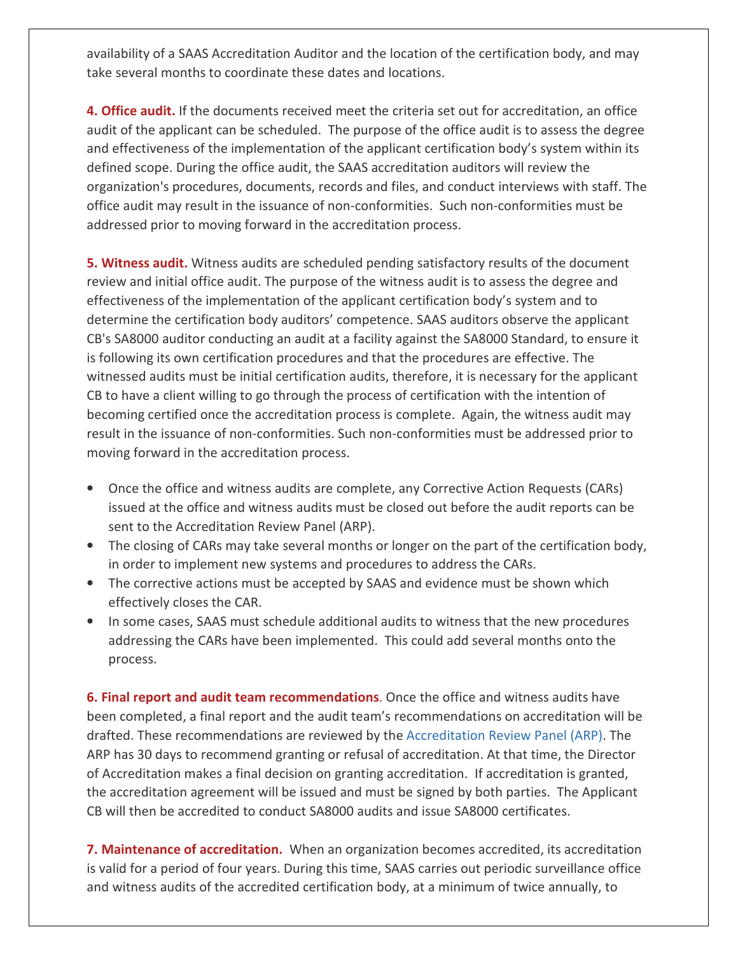availability of a SAAS Accreditation Auditor and the location of the certification body, and may take several months to coordinate these dates and locations.

**4. Office audit.** If the documents received meet the criteria set out for accreditation, an office audit of the applicant can be scheduled. The purpose of the office audit is to assess the degree and effectiveness of the implementation of the applicant certification body's system within its defined scope. During the office audit, the SAAS accreditation auditors will review the organization's procedures, documents, records and files, and conduct interviews with staff. The office audit may result in the issuance of non-conformities. Such non-conformities must be addressed prior to moving forward in the accreditation process.

**5. Witness audit.** Witness audits are scheduled pending satisfactory results of the document review and initial office audit. The purpose of the witness audit is to assess the degree and effectiveness of the implementation of the applicant certification body's system and to determine the certification body auditors' competence. SAAS auditors observe the applicant CB's SA8000 auditor conducting an audit at a facility against the SA8000 Standard, to ensure it is following its own certification procedures and that the procedures are effective. The witnessed audits must be initial certification audits, therefore, it is necessary for the applicant CB to have a client willing to go through the process of certification with the intention of becoming certified once the accreditation process is complete. Again, the witness audit may result in the issuance of non-conformities. Such non-conformities must be addressed prior to moving forward in the accreditation process.

- Once the office and witness audits are complete, any Corrective Action Requests (CARs) issued at the office and witness audits must be closed out before the audit reports can be sent to the Accreditation Review Panel (ARP).
- The closing of CARs may take several months or longer on the part of the certification body, in order to implement new systems and procedures to address the CARs.
- The corrective actions must be accepted by SAAS and evidence must be shown which effectively closes the CAR.
- In some cases, SAAS must schedule additional audits to witness that the new procedures addressing the CARs have been implemented. This could add several months onto the process.

**6. Final report and audit team recommendations**. Once the office and witness audits have been completed, a final report and the audit team's recommendations on accreditation will be drafted. These recommendations are reviewed by the Accreditation Review Panel (ARP). The ARP has 30 days to recommend granting or refusal of accreditation. At that time, the Director of Accreditation makes a final decision on granting accreditation. If accreditation is granted, the accreditation agreement will be issued and must be signed by both parties. The Applicant CB will then be accredited to conduct SA8000 audits and issue SA8000 certificates.

**7. Maintenance of accreditation.** When an organization becomes accredited, its accreditation is valid for a period of four years. During this time, SAAS carries out periodic surveillance office and witness audits of the accredited certification body, at a minimum of twice annually, to